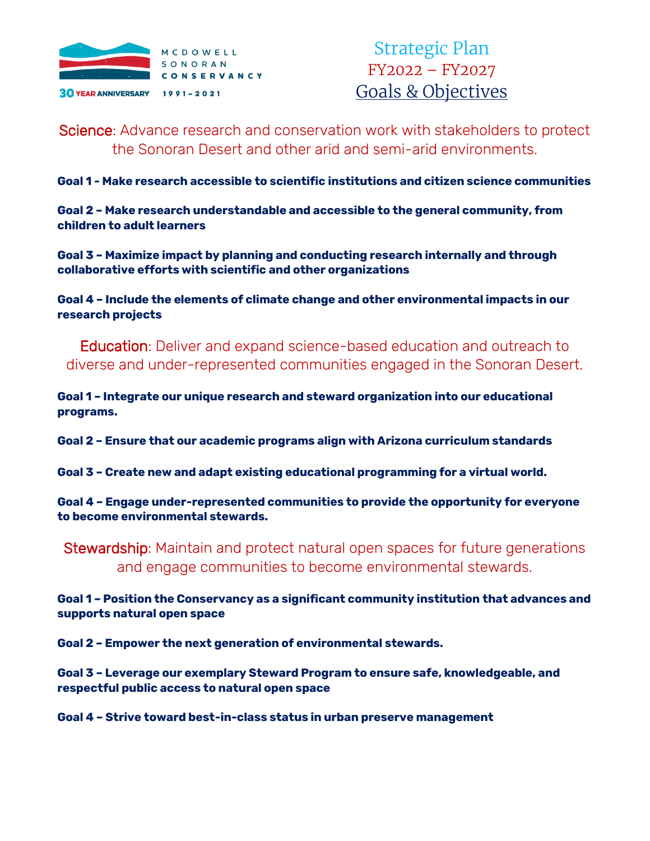

Strategic Plan FY2022 – FY2027 Goals & Objectives

Science: Advance research and conservation work with stakeholders to protect the Sonoran Desert and other arid and semi-arid environments.

**Goal 1 - Make research accessible to scientific institutions and citizen science communities**

**Goal 2 – Make research understandable and accessible to the general community, from children to adult learners**

**Goal 3 – Maximize impact by planning and conducting research internally and through collaborative efforts with scientific and other organizations**

**Goal 4 – Include the elements of climate change and other environmental impacts in our research projects**

Education: Deliver and expand science-based education and outreach to diverse and under-represented communities engaged in the Sonoran Desert.

**Goal 1 – Integrate our unique research and steward organization into our educational programs.**

**Goal 2 – Ensure that our academic programs align with Arizona curriculum standards**

**Goal 3 – Create new and adapt existing educational programming for a virtual world.**

**Goal 4 – Engage under-represented communities to provide the opportunity for everyone to become environmental stewards.**

Stewardship: Maintain and protect natural open spaces for future generations and engage communities to become environmental stewards.

**Goal 1 – Position the Conservancy as a significant community institution that advances and supports natural open space**

**Goal 2 – Empower the next generation of environmental stewards.**

**Goal 3 – Leverage our exemplary Steward Program to ensure safe, knowledgeable, and respectful public access to natural open space** 

**Goal 4 – Strive toward best-in-class status in urban preserve management**